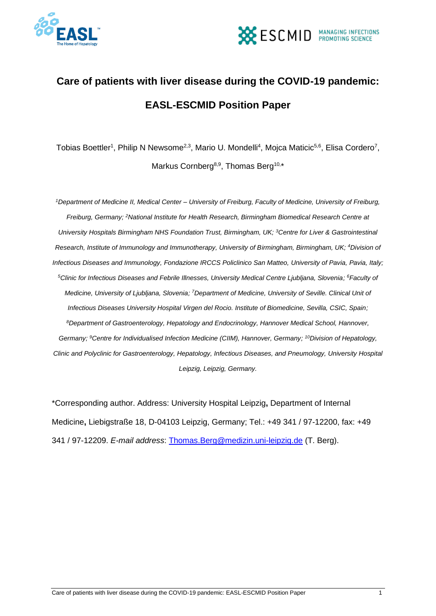



### **Care of patients with liver disease during the COVID-19 pandemic: EASL-ESCMID Position Paper**

Tobias Boettler<sup>1</sup>, Philip N Newsome<sup>2,3</sup>, Mario U. Mondelli<sup>4</sup>, Mojca Maticic<sup>5,6</sup>, Elisa Cordero<sup>7</sup>, Markus Cornberg<sup>8,9</sup>, Thomas Berg<sup>10,\*</sup>

*<sup>1</sup>Department of Medicine II, Medical Center – University of Freiburg, Faculty of Medicine, University of Freiburg, Freiburg, Germany; <sup>2</sup>National Institute for Health Research, Birmingham Biomedical Research Centre at University Hospitals Birmingham NHS Foundation Trust, Birmingham, UK; <sup>3</sup>Centre for Liver & Gastrointestinal Research, Institute of Immunology and Immunotherapy, University of Birmingham, Birmingham, UK; <sup>4</sup>Division of Infectious Diseases and Immunology, Fondazione IRCCS Policlinico San Matteo, University of Pavia, Pavia, Italy; <sup>5</sup>Clinic for Infectious Diseases and Febrile Illnesses, University Medical Centre Ljubljana, Slovenia; <sup>6</sup>Faculty of Medicine, University of Ljubljana, Slovenia; <sup>7</sup>Department of Medicine, University of Seville. Clinical Unit of Infectious Diseases University Hospital Virgen del Rocio. Institute of Biomedicine, Sevilla, CSIC, Spain; <sup>8</sup>Department of Gastroenterology, Hepatology and Endocrinology, Hannover Medical School, Hannover, Germany; <sup>9</sup>Centre for Individualised Infection Medicine (CIIM), Hannover, Germany; <sup>10</sup>Division of Hepatology, Clinic and Polyclinic for Gastroenterology, Hepatology, Infectious Diseases, and Pneumology, University Hospital Leipzig, Leipzig, Germany.*

\*Corresponding author. Address: University Hospital Leipzig**,** Department of Internal Medicine**,** Liebigstraße 18, D-04103 Leipzig, Germany; Tel.: +49 341 / 97-12200, fax: +49 341 / 97-12209. *E-mail address*: [Thomas.Berg@medizin.uni-leipzig.de](mailto:Thomas.Berg@medizin.uni-leipzig.de) (T. Berg).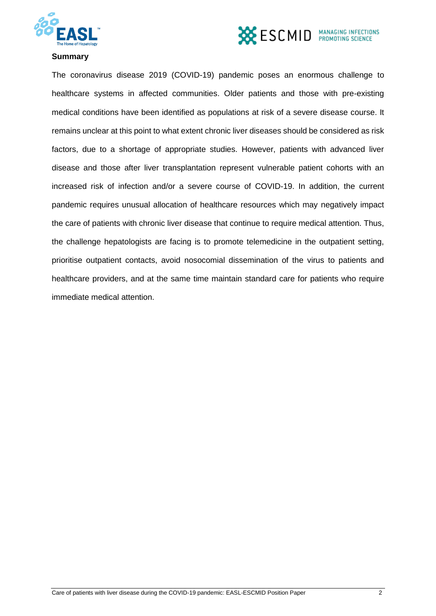



#### **Summary**

The coronavirus disease 2019 (COVID-19) pandemic poses an enormous challenge to healthcare systems in affected communities. Older patients and those with pre-existing medical conditions have been identified as populations at risk of a severe disease course. It remains unclear at this point to what extent chronic liver diseases should be considered as risk factors, due to a shortage of appropriate studies. However, patients with advanced liver disease and those after liver transplantation represent vulnerable patient cohorts with an increased risk of infection and/or a severe course of COVID-19. In addition, the current pandemic requires unusual allocation of healthcare resources which may negatively impact the care of patients with chronic liver disease that continue to require medical attention. Thus, the challenge hepatologists are facing is to promote telemedicine in the outpatient setting, prioritise outpatient contacts, avoid nosocomial dissemination of the virus to patients and healthcare providers, and at the same time maintain standard care for patients who require immediate medical attention.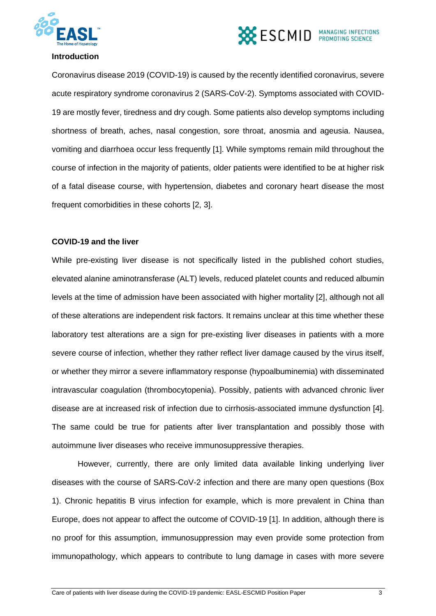



#### **Introduction**

Coronavirus disease 2019 (COVID-19) is caused by the recently identified coronavirus, severe acute respiratory syndrome coronavirus 2 (SARS-CoV-2). Symptoms associated with COVID-19 are mostly fever, tiredness and dry cough. Some patients also develop symptoms including shortness of breath, aches, nasal congestion, sore throat, anosmia and ageusia. Nausea, vomiting and diarrhoea occur less frequently [1]. While symptoms remain mild throughout the course of infection in the majority of patients, older patients were identified to be at higher risk of a fatal disease course, with hypertension, diabetes and coronary heart disease the most frequent comorbidities in these cohorts [2, 3].

#### **COVID-19 and the liver**

While pre-existing liver disease is not specifically listed in the published cohort studies, elevated alanine aminotransferase (ALT) levels, reduced platelet counts and reduced albumin levels at the time of admission have been associated with higher mortality [2], although not all of these alterations are independent risk factors. It remains unclear at this time whether these laboratory test alterations are a sign for pre-existing liver diseases in patients with a more severe course of infection, whether they rather reflect liver damage caused by the virus itself, or whether they mirror a severe inflammatory response (hypoalbuminemia) with disseminated intravascular coagulation (thrombocytopenia). Possibly, patients with advanced chronic liver disease are at increased risk of infection due to cirrhosis-associated immune dysfunction [4]. The same could be true for patients after liver transplantation and possibly those with autoimmune liver diseases who receive immunosuppressive therapies.

However, currently, there are only limited data available linking underlying liver diseases with the course of SARS-CoV-2 infection and there are many open questions (Box 1). Chronic hepatitis B virus infection for example, which is more prevalent in China than Europe, does not appear to affect the outcome of COVID-19 [1]. In addition, although there is no proof for this assumption, immunosuppression may even provide some protection from immunopathology, which appears to contribute to lung damage in cases with more severe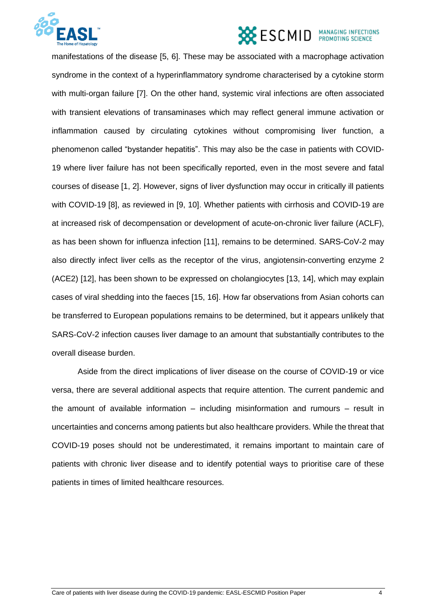

manifestations of the disease [5, 6]. These may be associated with a macrophage activation syndrome in the context of a hyperinflammatory syndrome characterised by a cytokine storm with multi-organ failure [7]. On the other hand, systemic viral infections are often associated with transient elevations of transaminases which may reflect general immune activation or inflammation caused by circulating cytokines without compromising liver function, a phenomenon called "bystander hepatitis". This may also be the case in patients with COVID-19 where liver failure has not been specifically reported, even in the most severe and fatal courses of disease [1, 2]. However, signs of liver dysfunction may occur in critically ill patients with COVID-19 [8], as reviewed in [9, 10]. Whether patients with cirrhosis and COVID-19 are at increased risk of decompensation or development of acute-on-chronic liver failure (ACLF), as has been shown for influenza infection [11], remains to be determined. SARS-CoV-2 may also directly infect liver cells as the receptor of the virus, angiotensin-converting enzyme 2 (ACE2) [12], has been shown to be expressed on cholangiocytes [13, 14], which may explain cases of viral shedding into the faeces [15, 16]. How far observations from Asian cohorts can be transferred to European populations remains to be determined, but it appears unlikely that SARS-CoV-2 infection causes liver damage to an amount that substantially contributes to the overall disease burden.

Aside from the direct implications of liver disease on the course of COVID-19 or vice versa, there are several additional aspects that require attention. The current pandemic and the amount of available information – including misinformation and rumours – result in uncertainties and concerns among patients but also healthcare providers. While the threat that COVID-19 poses should not be underestimated, it remains important to maintain care of patients with chronic liver disease and to identify potential ways to prioritise care of these patients in times of limited healthcare resources.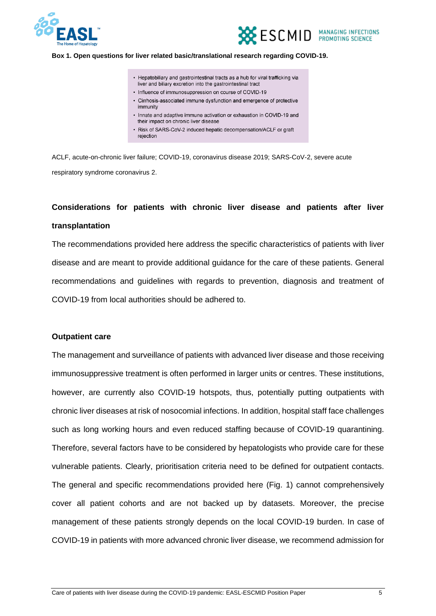



#### **Box 1. Open questions for liver related basic/translational research regarding COVID-19.**

- Hepatobiliary and gastrointestinal tracts as a hub for viral trafficking via liver and biliary excretion into the gastrointestinal tract
- Influence of immunosuppression on course of COVID-19
- Cirrhosis-associated immune dysfunction and emergence of protective immunity
- Innate and adaptive immune activation or exhaustion in COVID-19 and their impact on chronic liver disease
- Risk of SARS-CoV-2 induced hepatic decompensation/ACLF or graft rejection

ACLF, acute-on-chronic liver failure; COVID-19, coronavirus disease 2019; SARS-CoV-2, severe acute respiratory syndrome coronavirus 2.

### **Considerations for patients with chronic liver disease and patients after liver transplantation**

The recommendations provided here address the specific characteristics of patients with liver disease and are meant to provide additional guidance for the care of these patients. General recommendations and guidelines with regards to prevention, diagnosis and treatment of COVID-19 from local authorities should be adhered to.

#### **Outpatient care**

The management and surveillance of patients with advanced liver disease and those receiving immunosuppressive treatment is often performed in larger units or centres. These institutions, however, are currently also COVID-19 hotspots, thus, potentially putting outpatients with chronic liver diseases at risk of nosocomial infections. In addition, hospital staff face challenges such as long working hours and even reduced staffing because of COVID-19 quarantining. Therefore, several factors have to be considered by hepatologists who provide care for these vulnerable patients. Clearly, prioritisation criteria need to be defined for outpatient contacts. The general and specific recommendations provided here (Fig. 1) cannot comprehensively cover all patient cohorts and are not backed up by datasets. Moreover, the precise management of these patients strongly depends on the local COVID-19 burden. In case of COVID-19 in patients with more advanced chronic liver disease, we recommend admission for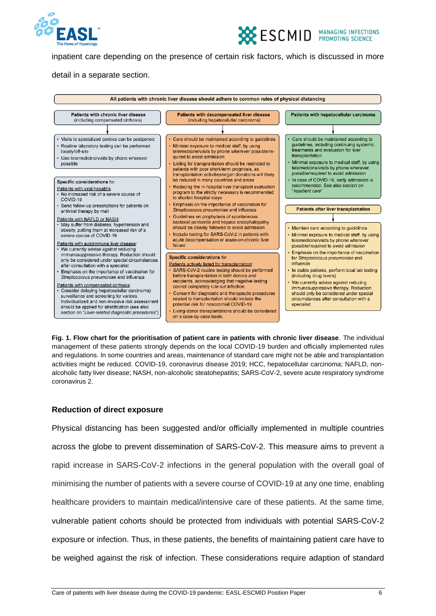



inpatient care depending on the presence of certain risk factors, which is discussed in more

detail in a separate section.



**Fig. 1. Flow chart for the prioritisation of patient care in patients with chronic liver disease**. The individual management of these patients strongly depends on the local COVID-19 burden and officially implemented rules and regulations. In some countries and areas, maintenance of standard care might not be able and transplantation activities might be reduced. COVID-19, coronavirus disease 2019; HCC, hepatocellular carcinoma; NAFLD, nonalcoholic fatty liver disease; NASH, non-alcoholic steatohepatitis; SARS-CoV-2, severe acute respiratory syndrome coronavirus 2.

#### **Reduction of direct exposure**

Physical distancing has been suggested and/or officially implemented in multiple countries across the globe to prevent dissemination of SARS-CoV-2. This measure aims to prevent a rapid increase in SARS-CoV-2 infections in the general population with the overall goal of minimising the number of patients with a severe course of COVID-19 at any one time, enabling healthcare providers to maintain medical/intensive care of these patients. At the same time, vulnerable patient cohorts should be protected from individuals with potential SARS-CoV-2 exposure or infection. Thus, in these patients, the benefits of maintaining patient care have to be weighed against the risk of infection. These considerations require adaption of standard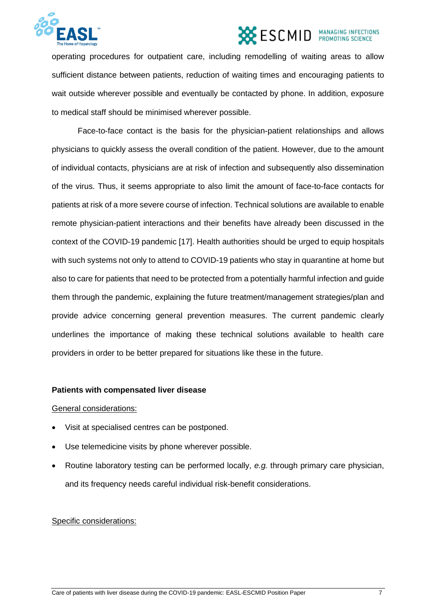

operating procedures for outpatient care, including remodelling of waiting areas to allow sufficient distance between patients, reduction of waiting times and encouraging patients to wait outside wherever possible and eventually be contacted by phone. In addition, exposure to medical staff should be minimised wherever possible.

Face-to-face contact is the basis for the physician-patient relationships and allows physicians to quickly assess the overall condition of the patient. However, due to the amount of individual contacts, physicians are at risk of infection and subsequently also dissemination of the virus. Thus, it seems appropriate to also limit the amount of face-to-face contacts for patients at risk of a more severe course of infection. Technical solutions are available to enable remote physician-patient interactions and their benefits have already been discussed in the context of the COVID-19 pandemic [17]. Health authorities should be urged to equip hospitals with such systems not only to attend to COVID-19 patients who stay in quarantine at home but also to care for patients that need to be protected from a potentially harmful infection and guide them through the pandemic, explaining the future treatment/management strategies/plan and provide advice concerning general prevention measures. The current pandemic clearly underlines the importance of making these technical solutions available to health care providers in order to be better prepared for situations like these in the future.

#### **Patients with compensated liver disease**

#### General considerations:

- Visit at specialised centres can be postponed.
- Use telemedicine visits by phone wherever possible.
- Routine laboratory testing can be performed locally, *e.g.* through primary care physician, and its frequency needs careful individual risk-benefit considerations.

#### Specific considerations: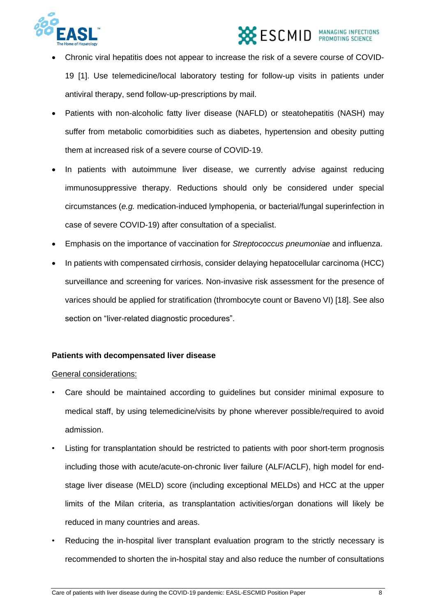

- Chronic viral hepatitis does not appear to increase the risk of a severe course of COVID-19 [1]. Use telemedicine/local laboratory testing for follow-up visits in patients under antiviral therapy, send follow-up-prescriptions by mail.
- Patients with non-alcoholic fatty liver disease (NAFLD) or steatohepatitis (NASH) may suffer from metabolic comorbidities such as diabetes, hypertension and obesity putting them at increased risk of a severe course of COVID-19.
- In patients with autoimmune liver disease, we currently advise against reducing immunosuppressive therapy. Reductions should only be considered under special circumstances (*e.g.* medication-induced lymphopenia, or bacterial/fungal superinfection in case of severe COVID-19) after consultation of a specialist.
- Emphasis on the importance of vaccination for *Streptococcus pneumoniae* and influenza.
- In patients with compensated cirrhosis, consider delaying hepatocellular carcinoma (HCC) surveillance and screening for varices. Non-invasive risk assessment for the presence of varices should be applied for stratification (thrombocyte count or Baveno VI) [18]. See also section on "liver-related diagnostic procedures".

#### **Patients with decompensated liver disease**

#### General considerations:

- Care should be maintained according to guidelines but consider minimal exposure to medical staff, by using telemedicine/visits by phone wherever possible/required to avoid admission.
- Listing for transplantation should be restricted to patients with poor short-term prognosis including those with acute/acute-on-chronic liver failure (ALF/ACLF), high model for endstage liver disease (MELD) score (including exceptional MELDs) and HCC at the upper limits of the Milan criteria, as transplantation activities/organ donations will likely be reduced in many countries and areas.
- Reducing the in-hospital liver transplant evaluation program to the strictly necessary is recommended to shorten the in-hospital stay and also reduce the number of consultations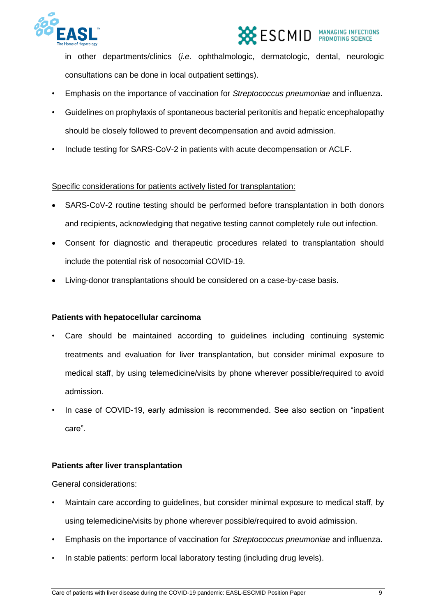



in other departments/clinics (*i.e.* ophthalmologic, dermatologic, dental, neurologic consultations can be done in local outpatient settings).

- Emphasis on the importance of vaccination for *Streptococcus pneumoniae* and influenza.
- Guidelines on prophylaxis of spontaneous bacterial peritonitis and hepatic encephalopathy should be closely followed to prevent decompensation and avoid admission.
- Include testing for SARS-CoV-2 in patients with acute decompensation or ACLF.

#### Specific considerations for patients actively listed for transplantation:

- SARS-CoV-2 routine testing should be performed before transplantation in both donors and recipients, acknowledging that negative testing cannot completely rule out infection.
- Consent for diagnostic and therapeutic procedures related to transplantation should include the potential risk of nosocomial COVID-19.
- Living-donor transplantations should be considered on a case-by-case basis.

#### **Patients with hepatocellular carcinoma**

- Care should be maintained according to guidelines including continuing systemic treatments and evaluation for liver transplantation, but consider minimal exposure to medical staff, by using telemedicine/visits by phone wherever possible/required to avoid admission.
- In case of COVID-19, early admission is recommended. See also section on "inpatient care".

#### **Patients after liver transplantation**

#### General considerations:

- Maintain care according to guidelines, but consider minimal exposure to medical staff, by using telemedicine/visits by phone wherever possible/required to avoid admission.
- Emphasis on the importance of vaccination for *Streptococcus pneumoniae* and influenza.
- In stable patients: perform local laboratory testing (including drug levels).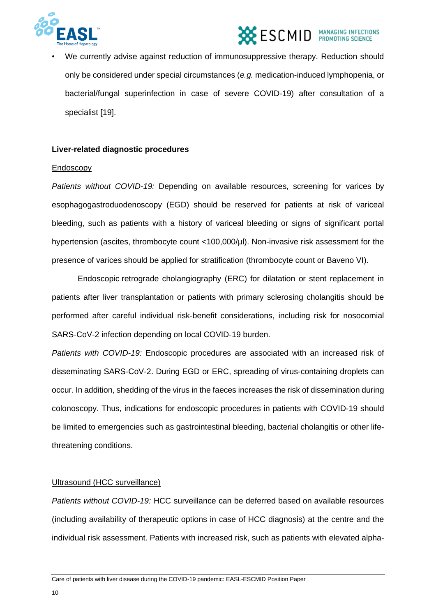



We currently advise against reduction of immunosuppressive therapy. Reduction should only be considered under special circumstances (*e.g.* medication-induced lymphopenia, or bacterial/fungal superinfection in case of severe COVID-19) after consultation of a specialist [19].

#### **Liver-related diagnostic procedures**

#### Endoscopy

*Patients without COVID-19:* Depending on available resources, screening for varices by esophagogastroduodenoscopy (EGD) should be reserved for patients at risk of variceal bleeding, such as patients with a history of variceal bleeding or signs of significant portal hypertension (ascites, thrombocyte count <100,000/µl). Non-invasive risk assessment for the presence of varices should be applied for stratification (thrombocyte count or Baveno VI).

Endoscopic retrograde cholangiography (ERC) for dilatation or stent replacement in patients after liver transplantation or patients with primary sclerosing cholangitis should be performed after careful individual risk-benefit considerations, including risk for nosocomial SARS-CoV-2 infection depending on local COVID-19 burden.

*Patients with COVID-19:* Endoscopic procedures are associated with an increased risk of disseminating SARS-CoV-2. During EGD or ERC, spreading of virus-containing droplets can occur. In addition, shedding of the virus in the faeces increases the risk of dissemination during colonoscopy. Thus, indications for endoscopic procedures in patients with COVID-19 should be limited to emergencies such as gastrointestinal bleeding, bacterial cholangitis or other lifethreatening conditions.

#### Ultrasound (HCC surveillance)

*Patients without COVID-19:* HCC surveillance can be deferred based on available resources (including availability of therapeutic options in case of HCC diagnosis) at the centre and the individual risk assessment. Patients with increased risk, such as patients with elevated alpha-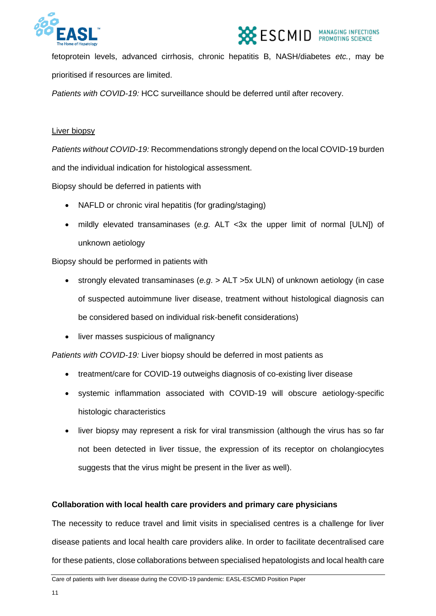



fetoprotein levels, advanced cirrhosis, chronic hepatitis B, NASH/diabetes *etc.*, may be prioritised if resources are limited.

*Patients with COVID-19:* HCC surveillance should be deferred until after recovery.

#### Liver biopsy

*Patients without COVID-19:* Recommendations strongly depend on the local COVID-19 burden and the individual indication for histological assessment.

Biopsy should be deferred in patients with

- NAFLD or chronic viral hepatitis (for grading/staging)
- mildly elevated transaminases (*e.g.* ALT <3x the upper limit of normal [ULN]) of unknown aetiology

Biopsy should be performed in patients with

- strongly elevated transaminases (*e.g*. > ALT >5x ULN) of unknown aetiology (in case of suspected autoimmune liver disease, treatment without histological diagnosis can be considered based on individual risk-benefit considerations)
- liver masses suspicious of malignancy

*Patients with COVID-19:* Liver biopsy should be deferred in most patients as

- treatment/care for COVID-19 outweighs diagnosis of co-existing liver disease
- systemic inflammation associated with COVID-19 will obscure aetiology-specific histologic characteristics
- liver biopsy may represent a risk for viral transmission (although the virus has so far not been detected in liver tissue, the expression of its receptor on cholangiocytes suggests that the virus might be present in the liver as well).

#### **Collaboration with local health care providers and primary care physicians**

The necessity to reduce travel and limit visits in specialised centres is a challenge for liver disease patients and local health care providers alike. In order to facilitate decentralised care for these patients, close collaborations between specialised hepatologists and local health care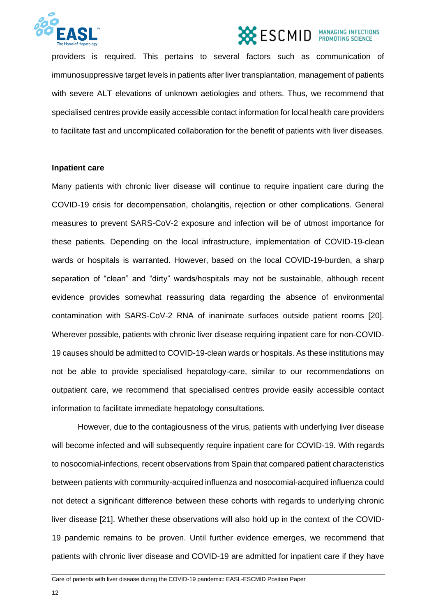



providers is required. This pertains to several factors such as communication of immunosuppressive target levels in patients after liver transplantation, management of patients with severe ALT elevations of unknown aetiologies and others. Thus, we recommend that specialised centres provide easily accessible contact information for local health care providers to facilitate fast and uncomplicated collaboration for the benefit of patients with liver diseases.

#### **Inpatient care**

Many patients with chronic liver disease will continue to require inpatient care during the COVID-19 crisis for decompensation, cholangitis, rejection or other complications. General measures to prevent SARS-CoV-2 exposure and infection will be of utmost importance for these patients. Depending on the local infrastructure, implementation of COVID-19-clean wards or hospitals is warranted. However, based on the local COVID-19-burden, a sharp separation of "clean" and "dirty" wards/hospitals may not be sustainable, although recent evidence provides somewhat reassuring data regarding the absence of environmental contamination with SARS-CoV-2 RNA of inanimate surfaces outside patient rooms [20]. Wherever possible, patients with chronic liver disease requiring inpatient care for non-COVID-19 causes should be admitted to COVID-19-clean wards or hospitals. As these institutions may not be able to provide specialised hepatology-care, similar to our recommendations on outpatient care, we recommend that specialised centres provide easily accessible contact information to facilitate immediate hepatology consultations.

However, due to the contagiousness of the virus, patients with underlying liver disease will become infected and will subsequently require inpatient care for COVID-19. With regards to nosocomial-infections, recent observations from Spain that compared patient characteristics between patients with community-acquired influenza and nosocomial-acquired influenza could not detect a significant difference between these cohorts with regards to underlying chronic liver disease [21]. Whether these observations will also hold up in the context of the COVID-19 pandemic remains to be proven. Until further evidence emerges, we recommend that patients with chronic liver disease and COVID-19 are admitted for inpatient care if they have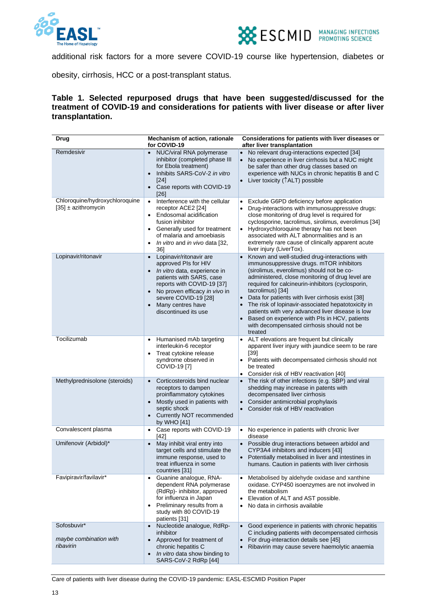



additional risk factors for a more severe COVID-19 course like hypertension, diabetes or

obesity, cirrhosis, HCC or a post-transplant status.

#### **Table 1. Selected repurposed drugs that have been suggested/discussed for the treatment of COVID-19 and considerations for patients with liver disease or after liver transplantation.**

| <b>Drug</b>                                               | Mechanism of action, rationale<br>for COVID-19                                                                                                                                                                                                                            | Considerations for patients with liver diseases or<br>after liver transplantation                                                                                                                                                                                                                                                                                                                                                                                                                                                                                                   |
|-----------------------------------------------------------|---------------------------------------------------------------------------------------------------------------------------------------------------------------------------------------------------------------------------------------------------------------------------|-------------------------------------------------------------------------------------------------------------------------------------------------------------------------------------------------------------------------------------------------------------------------------------------------------------------------------------------------------------------------------------------------------------------------------------------------------------------------------------------------------------------------------------------------------------------------------------|
| Remdesivir                                                | NUC/viral RNA polymerase<br>$\bullet$<br>inhibitor (completed phase III<br>for Ebola treatment)<br>Inhibits SARS-CoV-2 in vitro<br>[24]<br>• Case reports with COVID-19<br>[26]                                                                                           | No relevant drug-interactions expected [34]<br>$\bullet$<br>No experience in liver cirrhosis but a NUC might<br>be safer than other drug classes based on<br>experience with NUCs in chronic hepatitis B and C<br>• Liver toxicity (TALT) possible                                                                                                                                                                                                                                                                                                                                  |
| Chloroquine/hydroxychloroquine<br>$[35] \pm$ azithromycin | Interference with the cellular<br>$\bullet$<br>receptor ACE2 [24]<br>Endosomal acidification<br>$\bullet$<br>fusion inhibitor<br>Generally used for treatment<br>of malaria and amoebiasis<br>In vitro and in vivo data [32,<br>$\bullet$<br>361                          | Exclude G6PD deficiency before application<br>$\bullet$<br>Drug-interactions with immunosuppressive drugs:<br>close monitoring of drug level is required for<br>cyclosporine, tacrolimus, sirolimus, everolimus [34]<br>Hydroxychloroquine therapy has not been<br>$\bullet$<br>associated with ALT abnormalities and is an<br>extremely rare cause of clinically apparent acute<br>liver injury (LiverTox).                                                                                                                                                                        |
| Lopinavir/ritonavir                                       | Lopinavir/ritonavir are<br>$\bullet$<br>approved PIs for HIV<br>In vitro data, experience in<br>$\bullet$<br>patients with SARS, case<br>reports with COVID-19 [37]<br>No proven efficacy in vivo in<br>severe COVID-19 [28]<br>Many centres have<br>discontinued its use | Known and well-studied drug-interactions with<br>$\bullet$<br>immunosuppressive drugs. mTOR inhibitors<br>(sirolimus, everolimus) should not be co-<br>administered, close monitoring of drug level are<br>required for calcineurin-inhibitors (cyclosporin,<br>tacrolimus) [34]<br>Data for patients with liver cirrhosis exist [38]<br>$\bullet$<br>The risk of lopinavir-associated hepatotoxicity in<br>patients with very advanced liver disease is low<br>Based on experience with PIs in HCV, patients<br>$\bullet$<br>with decompensated cirrhosis should not be<br>treated |
| Tocilizumab                                               | Humanised mAb targeting<br>interleukin-6 receptor<br>Treat cytokine release<br>syndrome observed in<br>COVID-19 [7]                                                                                                                                                       | ALT elevations are frequent but clinically<br>$\bullet$<br>apparent liver injury with jaundice seem to be rare<br>$[39]$<br>• Patients with decompensated cirrhosis should not<br>be treated<br>Consider risk of HBV reactivation [40]<br>$\bullet$                                                                                                                                                                                                                                                                                                                                 |
| Methylprednisolone (steroids)                             | Corticosteroids bind nuclear<br>$\bullet$<br>receptors to dampen<br>proinflammatory cytokines<br>Mostly used in patients with<br>$\bullet$<br>septic shock<br>• Currently NOT recommended<br>by WHO [41]                                                                  | The risk of other infections (e.g. SBP) and viral<br>$\bullet$<br>shedding may increase in patents with<br>decompensated liver cirrhosis<br>• Consider antimicrobial prophylaxis<br>• Consider risk of HBV reactivation                                                                                                                                                                                                                                                                                                                                                             |
| Convalescent plasma                                       | Case reports with COVID-19<br>$\bullet$<br>$[42]$                                                                                                                                                                                                                         | No experience in patients with chronic liver<br>$\bullet$<br>disease                                                                                                                                                                                                                                                                                                                                                                                                                                                                                                                |
| Umifenovir (Arbidol)*                                     | May inhibit viral entry into<br>$\bullet$<br>target cells and stimulate the<br>immune response, used to<br>treat influenza in some<br>countries [31]                                                                                                                      | • Possible drug interactions between arbidol and<br>CYP3A4 inhibitors and inducers [43]<br>• Potentially metabolised in liver and intestines in<br>humans. Caution in patients with liver cirrhosis                                                                                                                                                                                                                                                                                                                                                                                 |
| Favipiravir/favilavir*                                    | Guanine analogue, RNA-<br>$\bullet$<br>dependent RNA polymerase<br>(RdRp)- inhibitor, approved<br>for influenza in Japan<br>Preliminary results from a<br>$\bullet$<br>study with 80 COVID-19<br>patients [31]                                                            | Metabolised by aldehyde oxidase and xanthine<br>oxidase. CYP450 isoenzymes are not involved in<br>the metabolism<br>Elevation of ALT and AST possible.<br>$\bullet$<br>No data in cirrhosis available                                                                                                                                                                                                                                                                                                                                                                               |
| Sofosbuvir*<br>maybe combination with<br>ribavirin        | Nucleotide analogue, RdRp-<br>$\bullet$<br>inhibitor<br>Approved for treatment of<br>$\bullet$<br>chronic hepatitis C<br>In vitro data show binding to<br>$\bullet$<br>SARS-CoV-2 RdRp [44]                                                                               | Good experience in patients with chronic hepatitis<br>$\bullet$<br>C including patients with decompensated cirrhosis<br>For drug-interaction details see [45]<br>$\bullet$<br>Ribavirin may cause severe haemolytic anaemia<br>$\bullet$                                                                                                                                                                                                                                                                                                                                            |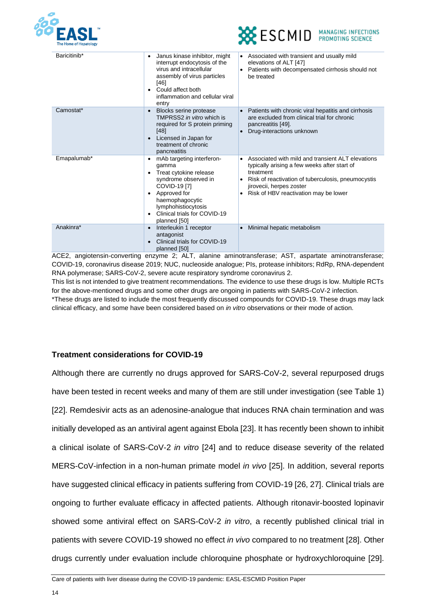



| Baricitinib* | Janus kinase inhibitor, might<br>٠<br>interrupt endocytosis of the<br>virus and intracellular<br>assembly of virus particles<br>[46]<br>Could affect both<br>inflammation and cellular viral<br>entry                            | • Associated with transient and usually mild<br>elevations of ALT [47]<br>Patients with decompensated cirrhosis should not<br>$\bullet$<br>be treated                                                                                     |
|--------------|----------------------------------------------------------------------------------------------------------------------------------------------------------------------------------------------------------------------------------|-------------------------------------------------------------------------------------------------------------------------------------------------------------------------------------------------------------------------------------------|
| Camostat*    | Blocks serine protease<br>$\bullet$<br>TMPRSS2 in vitro which is<br>required for S protein priming<br>[48]<br>Licensed in Japan for<br>treatment of chronic<br>pancreatitis                                                      | Patients with chronic viral hepatitis and cirrhosis<br>are excluded from clinical trial for chronic<br>pancreatitis [49].<br>Drug-interactions unknown                                                                                    |
| Emapalumab*  | mAb targeting interferon-<br>٠<br>gamma<br>Treat cytokine release<br>$\bullet$<br>syndrome observed in<br>COVID-19 [7]<br>Approved for<br>haemophagocytic<br>lymphohistiocytosis<br>Clinical trials for COVID-19<br>planned [50] | Associated with mild and transient ALT elevations<br>typically arising a few weeks after start of<br>treatment<br>Risk of reactivation of tuberculosis, pneumocystis<br>jirovecii, herpes zoster<br>Risk of HBV reactivation may be lower |
| Anakinra*    | Interleukin 1 receptor<br>antagonist<br>Clinical trials for COVID-19<br>planned [50]                                                                                                                                             | Minimal hepatic metabolism                                                                                                                                                                                                                |

ACE2, angiotensin-converting enzyme 2; ALT, alanine aminotransferase; AST, aspartate aminotransferase; COVID-19, coronavirus disease 2019; NUC, nucleoside analogue; PIs, protease inhibitors; RdRp, RNA-dependent RNA polymerase; SARS-CoV-2, severe acute respiratory syndrome coronavirus 2. This list is not intended to give treatment recommendations. The evidence to use these drugs is low. Multiple RCTs for the above-mentioned drugs and some other drugs are ongoing in patients with SARS-CoV-2 infection. \*These drugs are listed to include the most frequently discussed compounds for COVID-19. These drugs may lack clinical efficacy, and some have been considered based on *in vitro* observations or their mode of action.

#### **Treatment considerations for COVID-19**

Although there are currently no drugs approved for SARS-CoV-2, several repurposed drugs have been tested in recent weeks and many of them are still under investigation (see Table 1) [22]. Remdesivir acts as an adenosine-analogue that induces RNA chain termination and was initially developed as an antiviral agent against Ebola [23]. It has recently been shown to inhibit a clinical isolate of SARS-CoV-2 *in vitro* [24] and to reduce disease severity of the related MERS-CoV-infection in a non-human primate model *in vivo* [25]. In addition, several reports have suggested clinical efficacy in patients suffering from COVID-19 [26, 27]. Clinical trials are ongoing to further evaluate efficacy in affected patients. Although ritonavir-boosted lopinavir showed some antiviral effect on SARS-CoV-2 *in vitro*, a recently published clinical trial in patients with severe COVID-19 showed no effect *in vivo* compared to no treatment [28]. Other drugs currently under evaluation include chloroquine phosphate or hydroxychloroquine [29].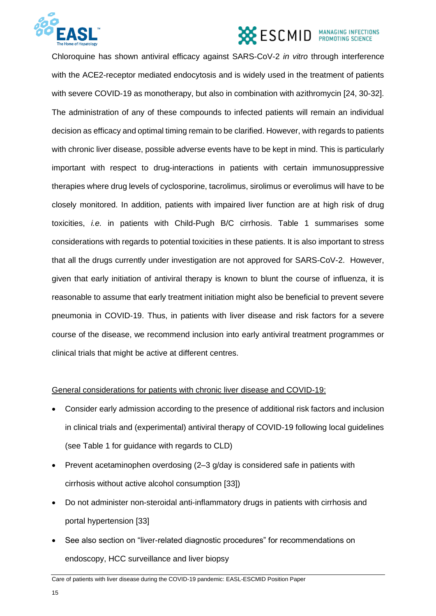

Chloroquine has shown antiviral efficacy against SARS-CoV-2 *in vitro* through interference with the ACE2-receptor mediated endocytosis and is widely used in the treatment of patients with severe COVID-19 as monotherapy, but also in combination with azithromycin [24, 30-32]. The administration of any of these compounds to infected patients will remain an individual decision as efficacy and optimal timing remain to be clarified. However, with regards to patients with chronic liver disease, possible adverse events have to be kept in mind. This is particularly important with respect to drug-interactions in patients with certain immunosuppressive therapies where drug levels of cyclosporine, tacrolimus, sirolimus or everolimus will have to be closely monitored. In addition, patients with impaired liver function are at high risk of drug toxicities, *i.e.* in patients with Child-Pugh B/C cirrhosis. Table 1 summarises some considerations with regards to potential toxicities in these patients. It is also important to stress that all the drugs currently under investigation are not approved for SARS-CoV-2. However, given that early initiation of antiviral therapy is known to blunt the course of influenza, it is reasonable to assume that early treatment initiation might also be beneficial to prevent severe pneumonia in COVID-19. Thus, in patients with liver disease and risk factors for a severe course of the disease, we recommend inclusion into early antiviral treatment programmes or clinical trials that might be active at different centres.

#### General considerations for patients with chronic liver disease and COVID-19:

- Consider early admission according to the presence of additional risk factors and inclusion in clinical trials and (experimental) antiviral therapy of COVID-19 following local guidelines (see Table 1 for guidance with regards to CLD)
- Prevent acetaminophen overdosing (2–3 g/day is considered safe in patients with cirrhosis without active alcohol consumption [33])
- Do not administer non-steroidal anti-inflammatory drugs in patients with cirrhosis and portal hypertension [33]
- See also section on "liver-related diagnostic procedures" for recommendations on endoscopy, HCC surveillance and liver biopsy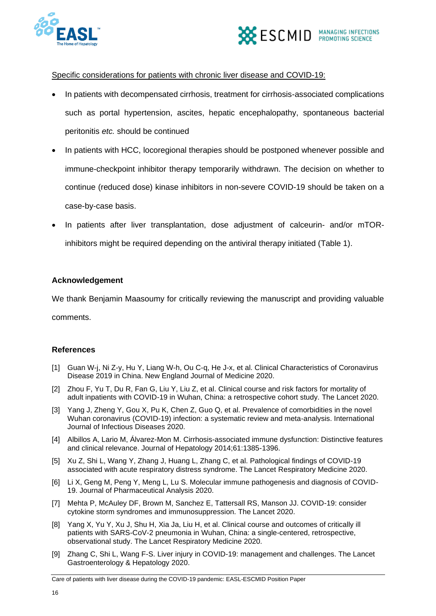



#### Specific considerations for patients with chronic liver disease and COVID-19:

- In patients with decompensated cirrhosis, treatment for cirrhosis-associated complications such as portal hypertension, ascites, hepatic encephalopathy, spontaneous bacterial peritonitis *etc.* should be continued
- In patients with HCC, locoregional therapies should be postponed whenever possible and immune-checkpoint inhibitor therapy temporarily withdrawn. The decision on whether to continue (reduced dose) kinase inhibitors in non-severe COVID-19 should be taken on a case-by-case basis.
- In patients after liver transplantation, dose adjustment of calceurin- and/or mTORinhibitors might be required depending on the antiviral therapy initiated (Table 1).

#### **Acknowledgement**

We thank Benjamin Maasoumy for critically reviewing the manuscript and providing valuable

comments.

#### **References**

- [1] Guan W-j, Ni Z-y, Hu Y, Liang W-h, Ou C-q, He J-x, et al. Clinical Characteristics of Coronavirus Disease 2019 in China. New England Journal of Medicine 2020.
- [2] Zhou F, Yu T, Du R, Fan G, Liu Y, Liu Z, et al. Clinical course and risk factors for mortality of adult inpatients with COVID-19 in Wuhan, China: a retrospective cohort study. The Lancet 2020.
- [3] Yang J, Zheng Y, Gou X, Pu K, Chen Z, Guo Q, et al. Prevalence of comorbidities in the novel Wuhan coronavirus (COVID-19) infection: a systematic review and meta-analysis. International Journal of Infectious Diseases 2020.
- [4] Albillos A, Lario M, Álvarez-Mon M. Cirrhosis-associated immune dysfunction: Distinctive features and clinical relevance. Journal of Hepatology 2014;61:1385-1396.
- [5] Xu Z, Shi L, Wang Y, Zhang J, Huang L, Zhang C, et al. Pathological findings of COVID-19 associated with acute respiratory distress syndrome. The Lancet Respiratory Medicine 2020.
- [6] Li X, Geng M, Peng Y, Meng L, Lu S. Molecular immune pathogenesis and diagnosis of COVID-19. Journal of Pharmaceutical Analysis 2020.
- [7] Mehta P, McAuley DF, Brown M, Sanchez E, Tattersall RS, Manson JJ. COVID-19: consider cytokine storm syndromes and immunosuppression. The Lancet 2020.
- [8] Yang X, Yu Y, Xu J, Shu H, Xia Ja, Liu H, et al. Clinical course and outcomes of critically ill patients with SARS-CoV-2 pneumonia in Wuhan, China: a single-centered, retrospective, observational study. The Lancet Respiratory Medicine 2020.
- [9] Zhang C, Shi L, Wang F-S. Liver injury in COVID-19: management and challenges. The Lancet Gastroenterology & Hepatology 2020.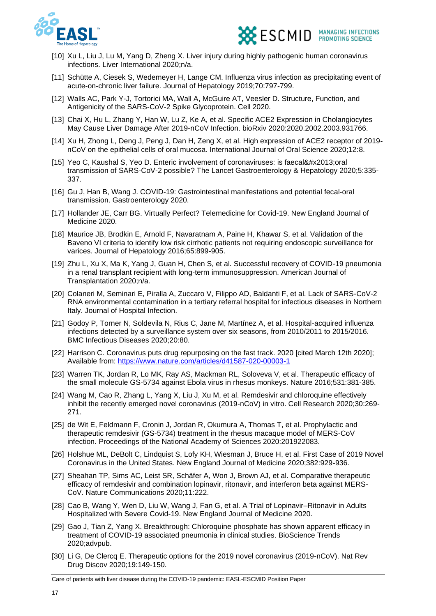



- [10] Xu L, Liu J, Lu M, Yang D, Zheng X. Liver injury during highly pathogenic human coronavirus infections. Liver International 2020;n/a.
- [11] Schütte A, Ciesek S, Wedemeyer H, Lange CM. Influenza virus infection as precipitating event of acute-on-chronic liver failure. Journal of Hepatology 2019;70:797-799.
- [12] Walls AC, Park Y-J, Tortorici MA, Wall A, McGuire AT, Veesler D. Structure, Function, and Antigenicity of the SARS-CoV-2 Spike Glycoprotein. Cell 2020.
- [13] Chai X, Hu L, Zhang Y, Han W, Lu Z, Ke A, et al. Specific ACE2 Expression in Cholangiocytes May Cause Liver Damage After 2019-nCoV Infection. bioRxiv 2020:2020.2002.2003.931766.
- [14] Xu H, Zhong L, Deng J, Peng J, Dan H, Zeng X, et al. High expression of ACE2 receptor of 2019 nCoV on the epithelial cells of oral mucosa. International Journal of Oral Science 2020;12:8.
- [15] Yeo C, Kaushal S, Yeo D, Enteric involvement of coronaviruses: is faecal–oral transmission of SARS-CoV-2 possible? The Lancet Gastroenterology & Hepatology 2020;5:335- 337.
- [16] Gu J, Han B, Wang J. COVID-19: Gastrointestinal manifestations and potential fecal-oral transmission. Gastroenterology 2020.
- [17] Hollander JE, Carr BG. Virtually Perfect? Telemedicine for Covid-19. New England Journal of Medicine 2020.
- [18] Maurice JB, Brodkin E, Arnold F, Navaratnam A, Paine H, Khawar S, et al. Validation of the Baveno VI criteria to identify low risk cirrhotic patients not requiring endoscopic surveillance for varices. Journal of Hepatology 2016;65:899-905.
- [19] Zhu L, Xu X, Ma K, Yang J, Guan H, Chen S, et al. Successful recovery of COVID-19 pneumonia in a renal transplant recipient with long-term immunosuppression. American Journal of Transplantation 2020;n/a.
- [20] Colaneri M, Seminari E, Piralla A, Zuccaro V, Filippo AD, Baldanti F, et al. Lack of SARS-CoV-2 RNA environmental contamination in a tertiary referral hospital for infectious diseases in Northern Italy. Journal of Hospital Infection.
- [21] Godoy P, Torner N, Soldevila N, Rius C, Jane M, Martínez A, et al. Hospital-acquired influenza infections detected by a surveillance system over six seasons, from 2010/2011 to 2015/2016. BMC Infectious Diseases 2020;20:80.
- [22] Harrison C. Coronavirus puts drug repurposing on the fast track. 2020 [cited March 12th 2020]; Available from:<https://www.nature.com/articles/d41587-020-00003-1>
- [23] Warren TK, Jordan R, Lo MK, Ray AS, Mackman RL, Soloveva V, et al. Therapeutic efficacy of the small molecule GS-5734 against Ebola virus in rhesus monkeys. Nature 2016;531:381-385.
- [24] Wang M, Cao R, Zhang L, Yang X, Liu J, Xu M, et al. Remdesivir and chloroquine effectively inhibit the recently emerged novel coronavirus (2019-nCoV) in vitro. Cell Research 2020;30:269- 271.
- [25] de Wit E, Feldmann F, Cronin J, Jordan R, Okumura A, Thomas T, et al. Prophylactic and therapeutic remdesivir (GS-5734) treatment in the rhesus macaque model of MERS-CoV infection. Proceedings of the National Academy of Sciences 2020:201922083.
- [26] Holshue ML, DeBolt C, Lindquist S, Lofy KH, Wiesman J, Bruce H, et al. First Case of 2019 Novel Coronavirus in the United States. New England Journal of Medicine 2020;382:929-936.
- [27] Sheahan TP, Sims AC, Leist SR, Schäfer A, Won J, Brown AJ, et al. Comparative therapeutic efficacy of remdesivir and combination lopinavir, ritonavir, and interferon beta against MERS-CoV. Nature Communications 2020;11:222.
- [28] Cao B, Wang Y, Wen D, Liu W, Wang J, Fan G, et al. A Trial of Lopinavir–Ritonavir in Adults Hospitalized with Severe Covid-19. New England Journal of Medicine 2020.
- [29] Gao J, Tian Z, Yang X. Breakthrough: Chloroquine phosphate has shown apparent efficacy in treatment of COVID-19 associated pneumonia in clinical studies. BioScience Trends 2020;advpub.
- [30] Li G, De Clercq E. Therapeutic options for the 2019 novel coronavirus (2019-nCoV). Nat Rev Drug Discov 2020;19:149-150.

Care of patients with liver disease during the COVID-19 pandemic: EASL-ESCMID Position Paper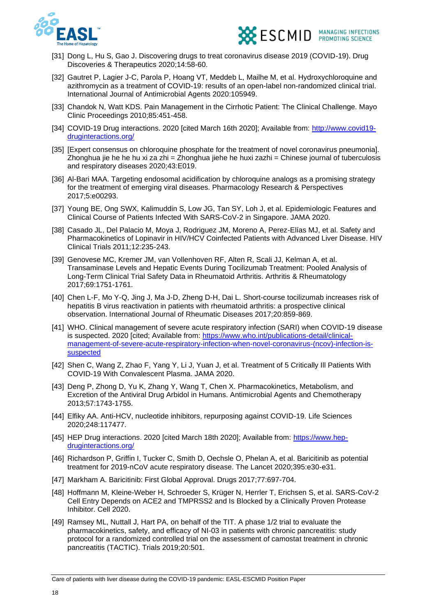



- [31] Dong L, Hu S, Gao J. Discovering drugs to treat coronavirus disease 2019 (COVID-19). Drug Discoveries & Therapeutics 2020;14:58-60.
- [32] Gautret P, Lagier J-C, Parola P, Hoang VT, Meddeb L, Mailhe M, et al. Hydroxychloroquine and azithromycin as a treatment of COVID-19: results of an open-label non-randomized clinical trial. International Journal of Antimicrobial Agents 2020:105949.
- [33] Chandok N, Watt KDS. Pain Management in the Cirrhotic Patient: The Clinical Challenge. Mayo Clinic Proceedings 2010;85:451-458.
- [34] COVID-19 Drug interactions. 2020 [cited March 16th 2020]; Available from: [http://www.covid19](http://www.covid19-druginteractions.org/) [druginteractions.org/](http://www.covid19-druginteractions.org/)
- [35] [Expert consensus on chloroquine phosphate for the treatment of novel coronavirus pneumonia]. Zhonghua jie he he hu xi za zhi = Zhonghua jiehe he huxi zazhi = Chinese journal of tuberculosis and respiratory diseases 2020;43:E019.
- [36] Al-Bari MAA. Targeting endosomal acidification by chloroquine analogs as a promising strategy for the treatment of emerging viral diseases. Pharmacology Research & Perspectives 2017;5:e00293.
- [37] Young BE, Ong SWX, Kalimuddin S, Low JG, Tan SY, Loh J, et al. Epidemiologic Features and Clinical Course of Patients Infected With SARS-CoV-2 in Singapore. JAMA 2020.
- [38] Casado JL, Del Palacio M, Moya J, Rodriguez JM, Moreno A, Perez-Elías MJ, et al. Safety and Pharmacokinetics of Lopinavir in HIV/HCV Coinfected Patients with Advanced Liver Disease. HIV Clinical Trials 2011;12:235-243.
- [39] Genovese MC, Kremer JM, van Vollenhoven RF, Alten R, Scali JJ, Kelman A, et al. Transaminase Levels and Hepatic Events During Tocilizumab Treatment: Pooled Analysis of Long-Term Clinical Trial Safety Data in Rheumatoid Arthritis. Arthritis & Rheumatology 2017;69:1751-1761.
- [40] Chen L-F, Mo Y-Q, Jing J, Ma J-D, Zheng D-H, Dai L. Short-course tocilizumab increases risk of hepatitis B virus reactivation in patients with rheumatoid arthritis: a prospective clinical observation. International Journal of Rheumatic Diseases 2017;20:859-869.
- [41] WHO. Clinical management of severe acute respiratory infection (SARI) when COVID-19 disease is suspected. 2020 [cited; Available from: [https://www.who.int/publications-detail/clinical](https://www.who.int/publications-detail/clinical-management-of-severe-acute-respiratory-infection-when-novel-coronavirus-(ncov)-infection-is-suspected)[management-of-severe-acute-respiratory-infection-when-novel-coronavirus-\(ncov\)-infection-is](https://www.who.int/publications-detail/clinical-management-of-severe-acute-respiratory-infection-when-novel-coronavirus-(ncov)-infection-is-suspected)[suspected](https://www.who.int/publications-detail/clinical-management-of-severe-acute-respiratory-infection-when-novel-coronavirus-(ncov)-infection-is-suspected)
- [42] Shen C, Wang Z, Zhao F, Yang Y, Li J, Yuan J, et al. Treatment of 5 Critically Ill Patients With COVID-19 With Convalescent Plasma. JAMA 2020.
- [43] Deng P, Zhong D, Yu K, Zhang Y, Wang T, Chen X. Pharmacokinetics, Metabolism, and Excretion of the Antiviral Drug Arbidol in Humans. Antimicrobial Agents and Chemotherapy 2013;57:1743-1755.
- [44] Elfiky AA. Anti-HCV, nucleotide inhibitors, repurposing against COVID-19. Life Sciences 2020;248:117477.
- [45] HEP Drug interactions. 2020 [cited March 18th 2020]; Available from: [https://www.hep](https://www.hep-druginteractions.org/)[druginteractions.org/](https://www.hep-druginteractions.org/)
- [46] Richardson P, Griffin I, Tucker C, Smith D, Oechsle O, Phelan A, et al. Baricitinib as potential treatment for 2019-nCoV acute respiratory disease. The Lancet 2020;395:e30-e31.
- [47] Markham A. Baricitinib: First Global Approval. Drugs 2017;77:697-704.
- [48] Hoffmann M, Kleine-Weber H, Schroeder S, Krüger N, Herrler T, Erichsen S, et al. SARS-CoV-2 Cell Entry Depends on ACE2 and TMPRSS2 and Is Blocked by a Clinically Proven Protease Inhibitor. Cell 2020.
- [49] Ramsey ML, Nuttall J, Hart PA, on behalf of the TIT. A phase 1/2 trial to evaluate the pharmacokinetics, safety, and efficacy of NI-03 in patients with chronic pancreatitis: study protocol for a randomized controlled trial on the assessment of camostat treatment in chronic pancreatitis (TACTIC). Trials 2019;20:501.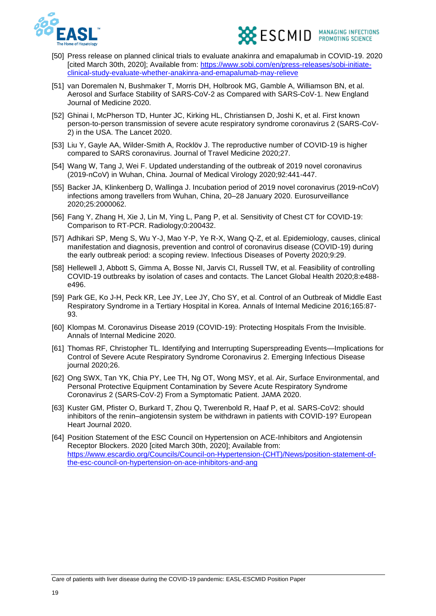



- [50] Press release on planned clinical trials to evaluate anakinra and emapalumab in COVID-19. 2020 [cited March 30th, 2020]; Available from: [https://www.sobi.com/en/press-releases/sobi-initiate](https://www.sobi.com/en/press-releases/sobi-initiate-clinical-study-evaluate-whether-anakinra-and-emapalumab-may-relieve)[clinical-study-evaluate-whether-anakinra-and-emapalumab-may-relieve](https://www.sobi.com/en/press-releases/sobi-initiate-clinical-study-evaluate-whether-anakinra-and-emapalumab-may-relieve)
- [51] van Doremalen N, Bushmaker T, Morris DH, Holbrook MG, Gamble A, Williamson BN, et al. Aerosol and Surface Stability of SARS-CoV-2 as Compared with SARS-CoV-1. New England Journal of Medicine 2020.
- [52] Ghinai I, McPherson TD, Hunter JC, Kirking HL, Christiansen D, Joshi K, et al. First known person-to-person transmission of severe acute respiratory syndrome coronavirus 2 (SARS-CoV-2) in the USA. The Lancet 2020.
- [53] Liu Y, Gayle AA, Wilder-Smith A, Rocklöv J. The reproductive number of COVID-19 is higher compared to SARS coronavirus. Journal of Travel Medicine 2020;27.
- [54] Wang W, Tang J, Wei F. Updated understanding of the outbreak of 2019 novel coronavirus (2019-nCoV) in Wuhan, China. Journal of Medical Virology 2020;92:441-447.
- [55] Backer JA, Klinkenberg D, Wallinga J. Incubation period of 2019 novel coronavirus (2019-nCoV) infections among travellers from Wuhan, China, 20–28 January 2020. Eurosurveillance 2020;25:2000062.
- [56] Fang Y, Zhang H, Xie J, Lin M, Ying L, Pang P, et al. Sensitivity of Chest CT for COVID-19: Comparison to RT-PCR. Radiology;0:200432.
- [57] Adhikari SP, Meng S, Wu Y-J, Mao Y-P, Ye R-X, Wang Q-Z, et al. Epidemiology, causes, clinical manifestation and diagnosis, prevention and control of coronavirus disease (COVID-19) during the early outbreak period: a scoping review. Infectious Diseases of Poverty 2020;9:29.
- [58] Hellewell J, Abbott S, Gimma A, Bosse NI, Jarvis CI, Russell TW, et al. Feasibility of controlling COVID-19 outbreaks by isolation of cases and contacts. The Lancet Global Health 2020;8:e488 e496.
- [59] Park GE, Ko J-H, Peck KR, Lee JY, Lee JY, Cho SY, et al. Control of an Outbreak of Middle East Respiratory Syndrome in a Tertiary Hospital in Korea. Annals of Internal Medicine 2016;165:87- 93.
- [60] Klompas M. Coronavirus Disease 2019 (COVID-19): Protecting Hospitals From the Invisible. Annals of Internal Medicine 2020.
- [61] Thomas RF, Christopher TL. Identifying and Interrupting Superspreading Events—Implications for Control of Severe Acute Respiratory Syndrome Coronavirus 2. Emerging Infectious Disease journal 2020;26.
- [62] Ong SWX, Tan YK, Chia PY, Lee TH, Ng OT, Wong MSY, et al. Air, Surface Environmental, and Personal Protective Equipment Contamination by Severe Acute Respiratory Syndrome Coronavirus 2 (SARS-CoV-2) From a Symptomatic Patient. JAMA 2020.
- [63] Kuster GM, Pfister O, Burkard T, Zhou Q, Twerenbold R, Haaf P, et al. SARS-CoV2: should inhibitors of the renin–angiotensin system be withdrawn in patients with COVID-19? European Heart Journal 2020.
- [64] Position Statement of the ESC Council on Hypertension on ACE-Inhibitors and Angiotensin Receptor Blockers. 2020 [cited March 30th, 2020]; Available from: [https://www.escardio.org/Councils/Council-on-Hypertension-\(CHT\)/News/position-statement-of](https://www.escardio.org/Councils/Council-on-Hypertension-(CHT)/News/position-statement-of-the-esc-council-on-hypertension-on-ace-inhibitors-and-ang)[the-esc-council-on-hypertension-on-ace-inhibitors-and-ang](https://www.escardio.org/Councils/Council-on-Hypertension-(CHT)/News/position-statement-of-the-esc-council-on-hypertension-on-ace-inhibitors-and-ang)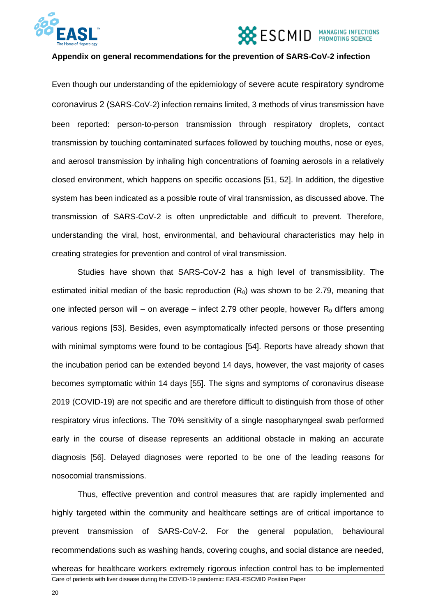



#### **Appendix on general recommendations for the prevention of SARS-CoV-2 infection**

Even though our understanding of the epidemiology of severe acute respiratory syndrome coronavirus 2 (SARS-CoV-2) infection remains limited, 3 methods of virus transmission have been reported: person-to-person transmission through respiratory droplets, contact transmission by touching contaminated surfaces followed by touching mouths, nose or eyes, and aerosol transmission by inhaling high concentrations of foaming aerosols in a relatively closed environment, which happens on specific occasions [51, 52]. In addition, the digestive system has been indicated as a possible route of viral transmission, as discussed above. The transmission of SARS-CoV-2 is often unpredictable and difficult to prevent. Therefore, understanding the viral, host, environmental, and behavioural characteristics may help in creating strategies for prevention and control of viral transmission.

Studies have shown that SARS-CoV-2 has a high level of transmissibility. The estimated initial median of the basic reproduction  $(R_0)$  was shown to be 2.79, meaning that one infected person will – on average – infect 2.79 other people, however  $R_0$  differs among various regions [53]. Besides, even asymptomatically infected persons or those presenting with minimal symptoms were found to be contagious [54]. Reports have already shown that the incubation period can be extended beyond 14 days, however, the vast majority of cases becomes symptomatic within 14 days [55]. The signs and symptoms of coronavirus disease 2019 (COVID-19) are not specific and are therefore difficult to distinguish from those of other respiratory virus infections. The 70% sensitivity of a single nasopharyngeal swab performed early in the course of disease represents an additional obstacle in making an accurate diagnosis [56]. Delayed diagnoses were reported to be one of the leading reasons for nosocomial transmissions.

Care of patients with liver disease during the COVID-19 pandemic: EASL-ESCMID Position Paper Thus, effective prevention and control measures that are rapidly implemented and highly targeted within the community and healthcare settings are of critical importance to prevent transmission of SARS-CoV-2. For the general population, behavioural recommendations such as washing hands, covering coughs, and social distance are needed, whereas for healthcare workers extremely rigorous infection control has to be implemented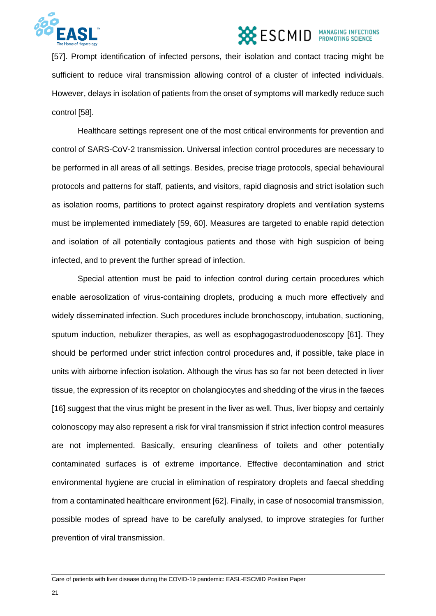

[57]. Prompt identification of infected persons, their isolation and contact tracing might be sufficient to reduce viral transmission allowing control of a cluster of infected individuals. However, delays in isolation of patients from the onset of symptoms will markedly reduce such control [58].

Healthcare settings represent one of the most critical environments for prevention and control of SARS-CoV-2 transmission. Universal infection control procedures are necessary to be performed in all areas of all settings. Besides, precise triage protocols, special behavioural protocols and patterns for staff, patients, and visitors, rapid diagnosis and strict isolation such as isolation rooms, partitions to protect against respiratory droplets and ventilation systems must be implemented immediately [59, 60]. Measures are targeted to enable rapid detection and isolation of all potentially contagious patients and those with high suspicion of being infected, and to prevent the further spread of infection.

Special attention must be paid to infection control during certain procedures which enable aerosolization of virus-containing droplets, producing a much more effectively and widely disseminated infection. Such procedures include bronchoscopy, intubation, suctioning, sputum induction, nebulizer therapies, as well as esophagogastroduodenoscopy [61]. They should be performed under strict infection control procedures and, if possible, take place in units with airborne infection isolation. Although the virus has so far not been detected in liver tissue, the expression of its receptor on cholangiocytes and shedding of the virus in the faeces [16] suggest that the virus might be present in the liver as well. Thus, liver biopsy and certainly colonoscopy may also represent a risk for viral transmission if strict infection control measures are not implemented. Basically, ensuring cleanliness of toilets and other potentially contaminated surfaces is of extreme importance. Effective decontamination and strict environmental hygiene are crucial in elimination of respiratory droplets and faecal shedding from a contaminated healthcare environment [62]. Finally, in case of nosocomial transmission, possible modes of spread have to be carefully analysed, to improve strategies for further prevention of viral transmission.